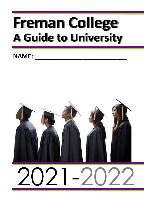# **Freman College A Guide to University**

**NAME: \_\_\_\_\_\_\_\_\_\_\_\_\_\_\_\_\_\_\_\_\_\_\_\_\_\_\_** 

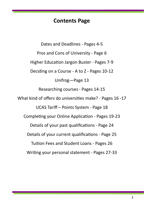## **Contents Page**

Dates and Deadlines - Pages 4-5 Pros and Cons of University - Page 6 Higher Education Jargon Buster - Pages 7-9 Deciding on a Course - A to Z - Pages 10-12 Unifrog—Page 13 Researching courses - Pages 14-15 What kind of offers do universities make? - Pages 16 -17 UCAS Tariff – Points System - Page 18 Completing your Online Application - Pages 19-23 Details of your past qualifications - Page 24 Details of your current qualifications - Page 25 Tuition Fees and Student Loans - Pages 26 Writing your personal statement - Pages 27-33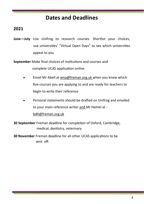## **Dates and Deadlines**

### **2021**

**June—July** Use Unifrog to research courses. Shortlist your choices, use universities' "Virtual Open Days" to see which universities appeal to you

**September** Make final choices of institutions and courses and complete UCAS application online.

- Email Mr Abell at wna@freman.org.uk when you know which five courses you are applying to and are ready for teachers to begin to write their reference
- Personal statements should be drafted on Unifrog and emailed to your main reference writer and Mr Hemel at bdh@freman.org.uk
- **30 September** Freman deadline for completion of Oxford, Cambridge, medical, dentistry, veterinary

**30 November** Freman deadline for all other UCAS applications to be sent off.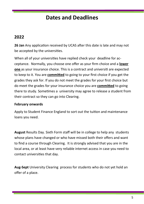## **Dates and Deadlines**

### **2022**

**26 Jan** Any application received by UCAS after this date is late and may not be accepted by the universities.

When all of your universities have replied check your deadline for acceptance. Normally, you choose one offer as your firm choice and a **lower one** as your insurance choice. This is a contract and universiti are expected to keep to it. You are **committed** to going to your first choice if you get the grades they ask for. If you do not meet the grades for your first choice but do meet the grades for your insurance choice you are **committed** to going there to study. Sometimes a university may agree to release a student from their contract so they can go into Clearing.

#### **February onwards**

Apply to Student Finance England to sort out the tuition and maintenance loans you need.

**August** Results Day. Sixth Form staff will be in college to help any students whose plans have changed or who have missed both their offers and want to find a course through Clearing. It is strongly advised that you are in the local area, or at least have very reliable internet access in case you need to contact universities that day.

**Aug-Sept** University Clearing process for students who do not yet hold an offer of a place.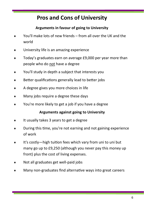## **Pros and Cons of University**

### **Arguments in favour of going to University**

- You'll make lots of new friends from all over the UK and the world
- University life is an amazing experience
- Today's graduates earn on average £9,000 per year more than people who do not have a degree
- You'll study in depth a subject that interests you
- Better qualifications generally lead to better jobs
- A degree gives you more choices in life
- Many jobs require a degree these days
- You're more likely to get a job if you have a degree

#### **Arguments against going to University**

- It usually takes 3 years to get a degree
- During this time, you're not earning and not gaining experience of work
- It's costly—high tuition fees which vary from uni to uni but many go up to £9,250 (although you never pay this money up front) plus the cost of living expenses.
- Not all graduates get well-paid jobs
- Many non-graduates find alternative ways into great careers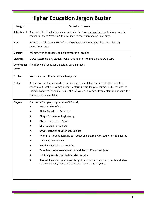## **Higher Education Jargon Buster**

| Jargon               | What it means                                                                                                                                                                                                                                                                                                     |                                                                                                                                                        |  |  |  |
|----------------------|-------------------------------------------------------------------------------------------------------------------------------------------------------------------------------------------------------------------------------------------------------------------------------------------------------------------|--------------------------------------------------------------------------------------------------------------------------------------------------------|--|--|--|
| Adjustment           | A period after Results Day when students who have met and beaten their offer require-<br>ments can try to "trade up" to a course at a more demanding university.                                                                                                                                                  |                                                                                                                                                        |  |  |  |
| <b>BMAT</b>          |                                                                                                                                                                                                                                                                                                                   | Biomedical Admissions Test -for some medicine degrees (see also UKCAT below)<br>www.bmat.org.uk                                                        |  |  |  |
| <b>Bursary</b>       |                                                                                                                                                                                                                                                                                                                   | Money given to students to help pay for their studies                                                                                                  |  |  |  |
| Clearing             |                                                                                                                                                                                                                                                                                                                   | UCAS system helping students who have no offers to find a place (Aug-Sept)                                                                             |  |  |  |
| Conditional<br>Offer | An offer which depends on getting certain grades                                                                                                                                                                                                                                                                  |                                                                                                                                                        |  |  |  |
| <b>Decline</b>       | You receive an offer but decide to reject it.                                                                                                                                                                                                                                                                     |                                                                                                                                                        |  |  |  |
| <b>Defer</b>         | Apply this year but not start the course until a year later. If you would like to do this,<br>make sure that the university accepts deferred entry for your course. And remember to<br>indicate Deferred in the Courses section of your application. If you defer, do not apply for<br>funding until a year later |                                                                                                                                                        |  |  |  |
| Degree               | A three or four year programme of HE study.                                                                                                                                                                                                                                                                       |                                                                                                                                                        |  |  |  |
|                      |                                                                                                                                                                                                                                                                                                                   | <b>BA</b> - Bachelor of Arts                                                                                                                           |  |  |  |
|                      | <b>BEd</b> - Bachelor of Education                                                                                                                                                                                                                                                                                |                                                                                                                                                        |  |  |  |
|                      |                                                                                                                                                                                                                                                                                                                   | <b>BEng</b> – Bachelor of Engineering                                                                                                                  |  |  |  |
|                      |                                                                                                                                                                                                                                                                                                                   | <b>BMus</b> – Bachelor of Music                                                                                                                        |  |  |  |
|                      |                                                                                                                                                                                                                                                                                                                   | <b>BSc</b> - Bachelor of Science                                                                                                                       |  |  |  |
|                      |                                                                                                                                                                                                                                                                                                                   | <b>BVSc</b> - Bachelor of Veterinary Science                                                                                                           |  |  |  |
|                      |                                                                                                                                                                                                                                                                                                                   | <b>FA</b> or <b>FSc</b> - Foundation Degree – vocational degree. Can lead onto a full degree                                                           |  |  |  |
|                      |                                                                                                                                                                                                                                                                                                                   | LLB-Bachelor of Law                                                                                                                                    |  |  |  |
|                      |                                                                                                                                                                                                                                                                                                                   | <b>MBChB</b> - Bachelor of Medicine                                                                                                                    |  |  |  |
|                      |                                                                                                                                                                                                                                                                                                                   | <b>Combined degree</b> – made up of modules of different subjects                                                                                      |  |  |  |
|                      |                                                                                                                                                                                                                                                                                                                   | Joint degree - two subjects studied equally                                                                                                            |  |  |  |
|                      |                                                                                                                                                                                                                                                                                                                   | <b>Sandwich course</b> – periods of study at university are alternated with periods of<br>study in industry. Sandwich courses usually last for 4 years |  |  |  |
|                      |                                                                                                                                                                                                                                                                                                                   |                                                                                                                                                        |  |  |  |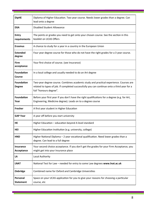| <b>DipHE</b>                 | Diploma of Higher Education. Two year course. Needs lower grades than a degree. Can<br>lead onto a degree                                                                                                      |
|------------------------------|----------------------------------------------------------------------------------------------------------------------------------------------------------------------------------------------------------------|
| DSA                          | <b>Disabled Student Allowance</b>                                                                                                                                                                              |
| <b>Entry</b><br>requirements | The points or grades you need to get onto your chosen course. See the section in this<br>booklet on UCAS Offers                                                                                                |
| <b>Erasmus</b>               | A chance to study for a year in a country in the European Union                                                                                                                                                |
| <b>Extended</b><br>degree    | Four year degree course for those who do not have the right grades for a 3 year course.                                                                                                                        |
| Firm<br>acceptance           | Your first choice of course. (see Insurance)                                                                                                                                                                   |
| Foundation<br>Course         | In a local college and usually needed to do an Art degree                                                                                                                                                      |
| <b>Foundation</b><br>Degree  | Two-year degree course. Combines academic study and practical experience. Courses are<br>related to types of job. If completed successfully you can continue onto a third year for a<br>full "honours degree". |
| <b>Foundation</b><br>Year    | Before your first year if you don't have the right qualifications for a degree (e.g. for Art,<br>Engineering, Medicine degree). Leads on to a degree course                                                    |
| Fresher                      | A first year student in Higher Education                                                                                                                                                                       |
| <b>GAP Year</b>              | A year off before you start university                                                                                                                                                                         |
| НE                           | Higher Education - education beyond A level standard                                                                                                                                                           |
| HEI                          | Higher Education Institution (e.g. university, college)                                                                                                                                                        |
| <b>HND</b>                   | Higher National Diploma – 2 year vocational qualification. Need lower grades than a<br>degree. Can lead to a full degree                                                                                       |
| Insurance<br>Acceptance      | Your second choice acceptance. If you don't get the grades for your Firm Acceptance, you<br>might get into your Insurance place                                                                                |
| LA                           | Local Authority                                                                                                                                                                                                |
| <b>LNAT</b>                  | National Test for Law – needed for entry to some Law degrees www.lnat.ac.uk                                                                                                                                    |
| Oxbridge                     | Combined name for Oxford and Cambridge Universities                                                                                                                                                            |
| Personal<br>Statement        | Space on your UCAS application for you to give your reasons for choosing a particular<br>course, etc                                                                                                           |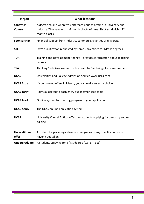| Jargon                        | What it means                                                                                                                                                  |
|-------------------------------|----------------------------------------------------------------------------------------------------------------------------------------------------------------|
| Sandwich<br>Course            | A degree course where you alternate periods of time in university and<br>industry. Thin sandwich = 6 month blocks of time. Thick sandwich = 12<br>month blocks |
| Sponsorship                   | Financial support from industry, commerce, charities or university                                                                                             |
| STEP                          | Extra qualification requested by some universities for Maths degrees.                                                                                          |
| TDA                           | Training and Development Agency - provides information about teaching<br>careers                                                                               |
| <b>TSA</b>                    | Thinking Skills Assessment $-$ a test used by Cambridge for some courses.                                                                                      |
| <b>UCAS</b>                   | Universities and College Admission Service www.ucas.com                                                                                                        |
| <b>UCAS Extra</b>             | If you have no offers in March, you can make an extra choice                                                                                                   |
| <b>UCAS Tariff</b>            | Points allocated to each entry qualification (see table)                                                                                                       |
| <b>UCAS Track</b>             | On-line system for tracking progress of your application                                                                                                       |
| <b>UCAS Apply</b>             | The UCAS on-line application system                                                                                                                            |
| UCAT                          | University Clinical Aptitude Test for students applying for dentistry and m<br>edicine                                                                         |
| <b>Unconditional</b><br>offer | An offer of a place regardless of your grades in any qualifications you<br>haven't yet taken                                                                   |
| <b>Undergraduate</b>          | A students studying for a first degree (e.g. BA, BSc)                                                                                                          |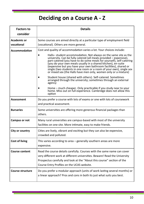## **Deciding on a Course A - Z**

| <b>Factors to</b>     | <b>Details</b>                                                                                                                                                                                                                                                                                                                                                                                                                                                                                |  |  |  |
|-----------------------|-----------------------------------------------------------------------------------------------------------------------------------------------------------------------------------------------------------------------------------------------------------------------------------------------------------------------------------------------------------------------------------------------------------------------------------------------------------------------------------------------|--|--|--|
| consider              |                                                                                                                                                                                                                                                                                                                                                                                                                                                                                               |  |  |  |
| <b>Academic or</b>    | Some courses are aimed directly at a particular type of employment field                                                                                                                                                                                                                                                                                                                                                                                                                      |  |  |  |
| vocational            | (vocational). Others are more general.                                                                                                                                                                                                                                                                                                                                                                                                                                                        |  |  |  |
| <b>Accommodation</b>  | Cost and quality of accommodation varies a lot. Your choices include:                                                                                                                                                                                                                                                                                                                                                                                                                         |  |  |  |
|                       | Halls- student accommodation. Not always on the same site as the<br>university. Can be fully catered (all meals provided – expensive),<br>part-catered (you have to do some meals for yourself), self-catering<br>(you do your own meals usually in a shared kitchen), en-suite<br>(expensive but you have your own bathroom facilities), shared or<br>single (two students in one room or a room of your own), single sex<br>or mixed sex (the Halls have men only, women only or a mixture) |  |  |  |
|                       | Student house (shared with others). Self-catered. Sometimes<br>arranged through the university; sometimes through an external<br>agency                                                                                                                                                                                                                                                                                                                                                       |  |  |  |
|                       | Home - much cheaper. Only practicable if you study near to your<br>home. Miss out on full experience. Cambridge does not allow this<br>option                                                                                                                                                                                                                                                                                                                                                 |  |  |  |
| <b>Assessment</b>     | Do you prefer a course with lots of exams or one with lots of coursework                                                                                                                                                                                                                                                                                                                                                                                                                      |  |  |  |
|                       | and practical assessment.                                                                                                                                                                                                                                                                                                                                                                                                                                                                     |  |  |  |
| <b>Bursaries</b>      | Some universities are offering more generous financial packages than<br>others.                                                                                                                                                                                                                                                                                                                                                                                                               |  |  |  |
| <b>Campus or not</b>  | Many rural universities are campus-based with most of the university<br>facilities on one site. More intimate, easy to make friends.                                                                                                                                                                                                                                                                                                                                                          |  |  |  |
| City or country       | Cities are lively, vibrant and exciting but they can also be expensive,<br>crowded and polluted.                                                                                                                                                                                                                                                                                                                                                                                              |  |  |  |
| <b>Cost of living</b> | This varies according to area - generally southern areas are more<br>expensive.                                                                                                                                                                                                                                                                                                                                                                                                               |  |  |  |
| <b>Course content</b> | Read the course details carefully. Courses with the same name can cover<br>very different work at different universities. Beware! Read the University<br>Prospectus carefully and look at the "About this course" section of the<br>Course Entry Profiles on the UCAS website.                                                                                                                                                                                                                |  |  |  |
| Course structure      | Do you prefer a modular approach (units of work lasting several months) or<br>a linear approach? Pros and cons in both its just what suits you best.                                                                                                                                                                                                                                                                                                                                          |  |  |  |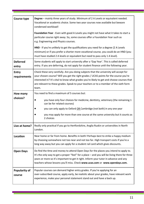| Course type                  | Degree - mainly three years of study. Minimum of 2 A Levels or equivalent needed.<br>Vocational or academic choice. Some two year courses now available but beware<br>condensed workload!                                                                                                                                                                                       |  |  |
|------------------------------|---------------------------------------------------------------------------------------------------------------------------------------------------------------------------------------------------------------------------------------------------------------------------------------------------------------------------------------------------------------------------------|--|--|
|                              | Foundation Year - Even with good A Levels you might not have what it takes to start a<br>particular course right away. So, some courses offer a Foundation Year such as<br>e.g. Engineering and Physics courses.                                                                                                                                                                |  |  |
|                              | <b>HND</b> - If you're unlikely to get the qualifications you need for a degree (2 A Levels<br>minimum) or if you prefer a shorter more vocational course, you could do an HND (you<br>must have studied 2 A levels or equivalent but need to pass only 1 A level).                                                                                                             |  |  |
| <b>Deferred</b><br>entry     | Some students will apply to start university after a 'Gap Year'. This is called deferred<br>entry. If you are deferring, do not apply for student finance until the following year.                                                                                                                                                                                             |  |  |
| <b>Entry</b><br>requirements | Check these very carefully. Are you doing subjects that the university will accept for<br>your chosen course? Will you get the right grades / UCAS points for the course you're<br>interested in? It's vital to know what grades you're likely to get and choose courses that<br>are relevant to these grades. Speak to your teachers or to a member of the sixth form<br>team. |  |  |
| How many                     | You need to find a maximum of 5 courses but:                                                                                                                                                                                                                                                                                                                                    |  |  |
| choices?                     | you have only four choices for medicine, dentistry, veterinary (the remaining 1<br>can be for related courses)                                                                                                                                                                                                                                                                  |  |  |
|                              | you can only apply to Oxford OR Cambridge (not both) in any one year                                                                                                                                                                                                                                                                                                            |  |  |
|                              | you may apply for more than one course at the same university but it counts as<br>2 choices                                                                                                                                                                                                                                                                                     |  |  |
| Live at home?                | Really only practical if you go to Hertfordshire, Anglia Ruskin or universities in North<br>London.                                                                                                                                                                                                                                                                             |  |  |
| Location                     | Near home or far from home. Benefits in both! Perhaps best to strike a happy medium<br>by choosing somewhere not too near and not too far. High transport costs if you're a<br>long way away but you can apply for a student rail card which gives discounts.                                                                                                                   |  |  |
| <b>Open Days</b>             | Do find the time and money to attend Open Days for the places you intend to apply to.<br>It's the only way to get a proper "feel" for a place - and you will be living there for three<br>years or more so it's important to get it right. Inform your tutor in advance and any<br>teachers whose lessons you'll miss. Check www.ucas.com or www.opendays.com.                  |  |  |
| Popularity of<br>course      | Popular courses can demand higher entry grades. If you're applying for an<br>over-subscribed course, apply early, be realistic about your grades, have relevant work<br>experience, make your personal statement stand out and have a back up.                                                                                                                                  |  |  |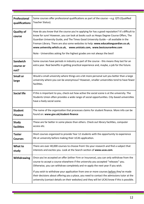| Professional<br>qualifications       | Some courses offer professional qualifications as part of the course $-$ e.g. QTS (Qualified<br>Teacher Status).                                                                                                                                                                                                                                                                                                                                                                                                          |
|--------------------------------------|---------------------------------------------------------------------------------------------------------------------------------------------------------------------------------------------------------------------------------------------------------------------------------------------------------------------------------------------------------------------------------------------------------------------------------------------------------------------------------------------------------------------------|
| <b>Quality of</b><br>course          | How do you know that the course you're applying for has a good reputation? It's difficult to<br>know for sure! However, you can look at books such as Heaps Degree Course Offers, The<br>Guardian University Guide, and The Times Good University Guide – all available in the<br>Freman Library. There are also some websites to help: www.educationguardian.co.uk,<br>www.university.which.co.uk, www.unistats.com, www.bestcourse4me.com<br>Note - Universities asking for the highest grades are not always the best! |
| <b>Sandwich</b><br>course or<br>not? | Some courses have periods in industry as part of the course - this means they last for an<br>extra year. Real benefits in getting practical experience and, maybe, a job for the future.                                                                                                                                                                                                                                                                                                                                  |
| <b>Small or</b><br>large             | Would a small university where things are a bit more personal suit you better than a large<br>university where you can be anonymous? However, smaller universities tend to have fewer<br>facilities.                                                                                                                                                                                                                                                                                                                      |
| <b>Social life</b>                   | If this is important to you, check out how active the social scene is at the university. The<br>Students Union often provides a wide range of social opportunities. City-based universities<br>have a lively social scene.                                                                                                                                                                                                                                                                                                |
| <b>Student</b><br><b>Finance</b>     | The name of the organization that processes claims for student finance. More info can be<br>found on: www.gov.uk/student-finance                                                                                                                                                                                                                                                                                                                                                                                          |
| Study<br>facilities                  | These are far better in some places than others. Check out library facilities, computer<br>access etc.                                                                                                                                                                                                                                                                                                                                                                                                                    |
| Taster<br><b>Courses</b>             | Short courses organized to provide Year 12 students with the opportunity to experience<br>life at university before making their UCAS application.                                                                                                                                                                                                                                                                                                                                                                        |
| What to<br>study                     | There are over 40,000 courses to choose from! Do your research and find a subject that<br>interests and excites you. Look at the Search section of www.ucas.com.                                                                                                                                                                                                                                                                                                                                                          |
| Withdrawing                          | Once you've accepted an offer (either Firm or Insurance), you can only withdraw from the<br>course to accept a course elsewhere if the university you accepted "releases" you.<br>Otherwise, you can withdraw completely and re-apply the next year if you wish.<br>If you wish to withdraw your application from one or more courses before they've made<br>their decisions about offering you a place, you need to contact the admissions tutor at the                                                                  |
|                                      | university (contact details on their websites) and they will let UCAS know if this is possible.                                                                                                                                                                                                                                                                                                                                                                                                                           |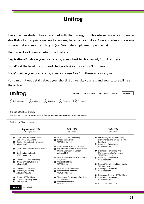## **Unifrog**

Every Freman student has an account with Unifrog.org.uk. This site will allow you to make shortlists of appropriate university courses, based on your likely A-level grades and various criteria that are important to you (eg. Graduate employment prospects).

Unifrog will sort courses into those that are…

"**aspirational**" (above your predicted grades)- best to choose only 1 or 2 of these

"**solid**" (at the level of your predicted grades) - choose 2 or 3 of these

"**safe**" (below your predicted grades) - choose 1 or 2 of these as a safety net

You can print out details about your shortlist university courses, and your tutors will see these, too.

| unifrog<br>$(2)$ Subjects<br>(3) Longlist<br>Qualifications                                                                                                                                                                                                                                                                                                                                                                                                                                               | <b>HOME</b><br><b>SHORTLISTS</b><br>(4) Shortlist<br>(5<br>Complete                                                                                                                                                                                                                                                                                                                                                                                                                                                                                          | <b>SIGN OUT</b><br><b>HELP</b><br><b>SETTINGS</b>                                                                                                                                                                                                                                                                                                                                                                                                                                                                                                                                        |
|-----------------------------------------------------------------------------------------------------------------------------------------------------------------------------------------------------------------------------------------------------------------------------------------------------------------------------------------------------------------------------------------------------------------------------------------------------------------------------------------------------------|--------------------------------------------------------------------------------------------------------------------------------------------------------------------------------------------------------------------------------------------------------------------------------------------------------------------------------------------------------------------------------------------------------------------------------------------------------------------------------------------------------------------------------------------------------------|------------------------------------------------------------------------------------------------------------------------------------------------------------------------------------------------------------------------------------------------------------------------------------------------------------------------------------------------------------------------------------------------------------------------------------------------------------------------------------------------------------------------------------------------------------------------------------------|
| Select courses below<br>Pick the best courses for you by ranking, filtering and searching. Click next when you're done.                                                                                                                                                                                                                                                                                                                                                                                   |                                                                                                                                                                                                                                                                                                                                                                                                                                                                                                                                                              |                                                                                                                                                                                                                                                                                                                                                                                                                                                                                                                                                                                          |
| $\vee$ Filter $\vee$<br>Search $\sim$<br>Rank $\blacktriangleright$                                                                                                                                                                                                                                                                                                                                                                                                                                       |                                                                                                                                                                                                                                                                                                                                                                                                                                                                                                                                                              |                                                                                                                                                                                                                                                                                                                                                                                                                                                                                                                                                                                          |
| <b>Aspirational (20)</b><br>Top of your range                                                                                                                                                                                                                                                                                                                                                                                                                                                             | Solid (65)<br>In the middle                                                                                                                                                                                                                                                                                                                                                                                                                                                                                                                                  | Safe (22)<br>At the bottom                                                                                                                                                                                                                                                                                                                                                                                                                                                                                                                                                               |
| <b>E</b> Drama and Theatre Arts with<br>Comedy - 3FT BA (Hons)<br>图 Goldsmiths, University of London<br>TT A Level: BBB<br><b>E</b> Drama and Applied Theatre - 3FT BA<br>(Hons)<br><b>同</b> Northumbria University<br><b>UCAS Points: 120</b><br>Theatre - 3FT/6PT BA (Hons)<br><b>图 Brunel University London</b><br>A Level: BBB<br>e Theatre - 3FT BA (Hons)<br><b>四</b> University of Reading<br>TT A Level: BBB-ABB<br>† Drama - 3FT BA (Hons)<br>Queen's University Belfast<br>囲<br>RG A Level: BBB | <b>E</b> Drama - 3FT/6PT BA (Hons)<br>Kingston University<br><b>BM</b><br><b>UCAS Points: 112</b><br><b>E</b> Performance Arts - 3FT BA (Hons)<br>Royal Central School of Speech and<br>眼<br>Drama, University of London<br>A Level: BBC<br><b>E</b> Drama and Theatre Practice - 3FT/PT<br>BA (Hons)<br><b>国</b> University of Hull<br><b>UCAS Points: 112</b><br><b>世</b> Drama - 3FT/PT BA (Hons)<br><b>围</b> University of Greenwich<br><b>UCAS Points: 112</b><br><b>E</b> Theatre and Performance Practice -<br>3FT BA (Hons)<br>University of Salford | Performing Arts (Contemporary<br>Performance) and Drama - 3FT/6PT<br>BA (Hons)<br><b>國</b> University of Winchester<br><b>UCAS Points: 88</b><br><b>E</b> Drama and Performing Arts<br>(Contemporary Performance) -<br>3FT/6PT BA (Hons)<br><b>國</b> University of Winchester<br><b>UCAS Points: 88</b><br><b>E</b> Drama (Education and Community) -<br>3FT BA (Hons)<br><b>國 York St John University</b><br><b>UCAS Points: 88</b><br>The Drama and Theatre - 3FT BA (Hons)<br><b>同 York St John University</b><br><b>UCAS Points: 88</b><br>$\sim$ $\sim$ $\sim$ $\sim$ $\sim$ $\sim$ |
| or go back<br>next >                                                                                                                                                                                                                                                                                                                                                                                                                                                                                      |                                                                                                                                                                                                                                                                                                                                                                                                                                                                                                                                                              |                                                                                                                                                                                                                                                                                                                                                                                                                                                                                                                                                                                          |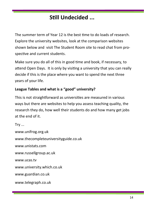## **Still Undecided ...**

The summer term of Year 12 is the best time to do loads of research. Explore the university websites, look at the comparison websites shown below and visit The Student Room site to read chat from prospective and current students.

Make sure you do all of this in good time and book, if necessary, to attend Open Days. It is only by visiting a university that you can really decide if this is the place where you want to spend the next three years of your life.

### **League Tables and what is a "good" university?**

This is not straightforward as universities are measured in various ways but there are websites to help you assess teaching quality, the research they do, how well their students do and how many get jobs at the end of it.

 $Try...$ www.unifrog.org.uk www.thecompleteuniversityguide.co.uk www.unistats.com www.russellgroup.ac.uk www.ucas.tv www.university.which.co.uk www.guardian.co.uk www.telegraph.co.uk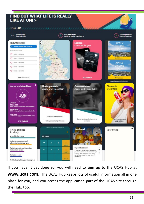#### **FIND OUT WHAT LIFE IS REALLY LIKE AT UNI >**

#### YOUR HUB CANNAN AND AN ANNUAL



If you haven't yet done so, you will need to sign up to the UCAS Hub at **www.ucas.com**. The UCAS Hub keeps lots of useful information all in one place for you, and you access the application part of the UCAS site through the Hub, too.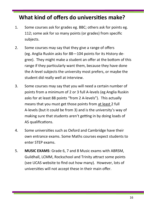## **What kind of offers do universities make?**

- 1. Some courses ask for grades eg. BBC; others ask for points eg. 112; some ask for so many points (or grades) from specific subjects.
- 2. Some courses may say that they give a range of offers (eg. Anglia Ruskin asks for 88—104 points for its History degree). They might make a student an offer at the bottom of this range if they particularly want them, because they have done the A-level subjects the university most prefers, or maybe the student did really well at interview.
- 3. Some courses may say that you will need a certain number of points from a minimum of 2 or 3 full A-levels (eg Anglia Ruskin asks for at least 88 points "from 2 A-levels"). This actually means that you must get those points from at least 2 full A-levels (but it could be from 3) and is the university's way of making sure that students aren't getting in by doing loads of AS qualifications.
- 4. Some universities such as Oxford and Cambridge have their own entrance exams. Some Maths courses expect students to enter STEP exams.
- 5. **MUSIC EXAMS**: Grade 6, 7 and 8 Music exams with ABRSM, Guildhall, LCMM, Rockschool and Trinity attract some points (see UCAS website to find out how many). However, lots of universities will not accept these in their main offer.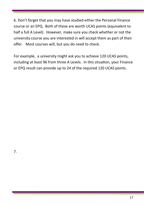6. Don't forget that you may have studied either the Personal Finance course or an EPQ. Both of these are worth UCAS points (equivalent to half a full A Level). However, make sure you check whether or not the university course you are interested in will accept them as part of their offer. Most courses will, but you do need to check.

For example, a university might ask you to achieve 120 UCAS points, including at least 96 from three A Levels. In this situation, your Finance or EPQ result can provide up to 24 of the required 120 UCAS points.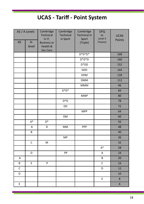## **UCAS - Tariff - Point System**

| AS / A Levels |               | Cambridge<br>Technical<br>in IT,           | Cambridge<br>Technical<br>in Sport | Cambridge<br><b>Technical in</b><br>Sport | EPQ<br>Or<br>Level 3 | <b>UCAS</b><br>Points |
|---------------|---------------|--------------------------------------------|------------------------------------|-------------------------------------------|----------------------|-----------------------|
| AS            | $A-$<br>level | <b>Business or</b><br>Health &<br>Soc Care |                                    | (Triple)                                  | Finance              |                       |
|               |               |                                            |                                    | $D^*D^*D^*$                               |                      | 168                   |
|               |               |                                            |                                    | $D^*D^*D$                                 |                      | 160                   |
|               |               |                                            |                                    | $D^*DD$                                   |                      | 152                   |
|               |               |                                            |                                    | DDD                                       |                      | 144                   |
|               |               |                                            |                                    | DDM                                       |                      | 128                   |
|               |               |                                            |                                    | <b>DMM</b>                                |                      | 112                   |
|               |               |                                            |                                    | <b>MMM</b>                                |                      | 96                    |
|               |               |                                            | $D^*D^*$                           |                                           |                      | 84                    |
|               |               |                                            |                                    | <b>MMP</b>                                |                      | 80                    |
|               |               |                                            | $D^*D$                             |                                           |                      | 78                    |
|               |               |                                            | DD                                 |                                           |                      | 72                    |
|               |               |                                            |                                    | <b>MPP</b>                                |                      | 64                    |
|               |               |                                            | DM                                 |                                           |                      | 60                    |
|               | $A^*$         | $D^*$                                      |                                    |                                           |                      | 56                    |
|               | A             | D                                          | MM                                 | PPP                                       |                      | 48                    |
|               | B             |                                            |                                    |                                           |                      | 40                    |
|               |               |                                            | MP                                 |                                           |                      | 36                    |
|               | $\mathsf C$   | M                                          |                                    |                                           |                      | 32                    |
|               |               |                                            |                                    |                                           | A*                   | 28                    |
|               | D             |                                            | PP                                 |                                           | A                    | 24                    |
| Α             |               |                                            |                                    |                                           | B                    | 20                    |
| B             | E             | P                                          |                                    |                                           | $\mathsf C$          | 16                    |
| $\mathsf C$   |               |                                            |                                    |                                           | D                    | 12                    |
| D             |               |                                            |                                    |                                           |                      | 10                    |
|               |               |                                            |                                    |                                           | Ε                    | $\bf 8$               |
| E             |               |                                            |                                    |                                           |                      | $\boldsymbol{6}$      |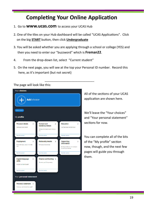## **Completing Your Online Application**

- 1. Go to **www.ucas.com** to access your UCAS Hub
- 2. One of the tiles on your Hub dashboard will be called "UCAS Applications". Click on the big **START** button, then click **Undergraduate**
- 3. You will be asked whether you are applying through a school or college (YES) and then you need to enter our "buzzword" which is **Freman22**.
- 4. From the drop-down list, select "Current student"

\_\_\_\_\_\_\_\_\_\_\_\_\_\_\_\_\_\_\_\_\_\_\_\_\_\_\_\_\_

5. On the next page, you will see at the top your Personal ID number. Record this here, as it's important (but not secret)

The page will look like this:

| Your choices                                                                          |                                                                                                             |                                                                                                                        |  |  |
|---------------------------------------------------------------------------------------|-------------------------------------------------------------------------------------------------------------|------------------------------------------------------------------------------------------------------------------------|--|--|
| <b>Add</b> choice<br>Confirm choices                                                  |                                                                                                             |                                                                                                                        |  |  |
| My profile                                                                            |                                                                                                             |                                                                                                                        |  |  |
| <b>Personal details</b><br>$\mathcal{E}$<br>Name, age, title and gender               | <b>Contact and</b><br>$\mathcal{E}$<br>residency details<br>Address, email, telephone and where you<br>live | <b>Education</b><br>$\mathcal{E}$<br>Qualifications and periods of study                                               |  |  |
| Start this section                                                                    | Start this section                                                                                          | Start this section                                                                                                     |  |  |
| <b>Employment</b><br>$\mathcal{P}$<br>Employment, paid, unpaid, or volunteer.<br>work | <b>Nationality details</b><br>$\mathcal{P}$<br>Birthglace and nationalities                                 | <b>Supporting</b><br>$\mathcal{P}$<br>information<br>So that groviders know how to suggert<br>you during your studies. |  |  |
| Start this section                                                                    | Start this section                                                                                          | Start this section                                                                                                     |  |  |
| <b>English language</b><br>$\mathcal{P}$<br>skills<br>is English your first language? | Finance and funding ><br>Tell us how you'll fund your study                                                 |                                                                                                                        |  |  |
| Start this section                                                                    | Start this section                                                                                          |                                                                                                                        |  |  |
| Your personal statement                                                               |                                                                                                             |                                                                                                                        |  |  |
| Personal statement ><br>Why do you want to study this subject?                        |                                                                                                             |                                                                                                                        |  |  |

All of the sections of your UCAS application are shown here.

We'll leave the "Your choices" and "Your personal statement" sections for now.

You can complete all of the bits of the "My profile" section now, though, and the next few pages will guide you through them.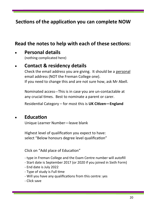## **Sections of the application you can complete NOW**

## **Read the notes to help with each of these sections:**

### • **Personal details**

(nothing complicated here)

## • **Contact & residency details**

Check the email address you are giving. It should be a personal email address (NOT the Freman College one). If you need to change this and are not sure how, ask Mr Abell.

Nominated access—This is in case you are un-contactable at any crucial times. Best to nominate a parent or carer.

Residential Category – for most this is **UK Citizen—England**

## • **Education**

Unique Learner Number—leave blank

Highest level of qualification you expect to have: select "Below honours degree level qualification"

Click on "Add place of Education"

- type in Freman College and the Exam Centre number will autofill
- Start date is September 2017 (or 2020 if you joined in Sixth Form)
- End date is July 2022
- Type of study is Full time
- Will you have any qualifications from this centre: yes
- Click save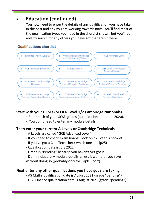## • **Education (continued)**

You now need to enter the details of any qualification you have taken in the past and any you are working towards now. You'll find most of the qualification types you need in the shortlist shown, but you'll be able to search for any others you have got that aren't there.

#### **Oualifications shortlist**



#### **Start with your GCSEs (or OCR Level 1/2 Cambridge Nationals) …**

- Enter each of your GCSE grades (qualification date June 2020).
- You don't need to enter any module details.

#### **Then enter your current A Levels or Cambridge Technicals**

- A Levels are called "GCE Advanced Level"
- If you need to check exam boards, look on p25 of this booklet
- If you've got a Cam Tech check which one it is (p25)
- Qualification date is July 2022
- Grade is "Pending" because you haven't yet got it
- Don't include any module details unless it won't let you save without doing so (probably only for Triple Sport)

#### **Next enter any other qualifications you have got / are taking**

- AS Maths qualification date is August 2021 (grade "pending")

- LIBF Finance qualification date is August 2021 (grade "pending")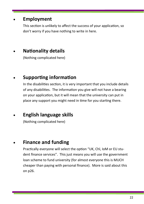### • **Employment**

This section is unlikely to affect the success of your application, so don't worry if you have nothing to write in here.

## • **Nationality details**

(Nothing complicated here)

## • **Supporting information**

In the disabilities section, it is very important that you include details of any disabilities. The information you give will not have a bearing on your application, but it will mean that the university can put in place any support you might need in time for you starting there.

## • **English language skills**

(Nothing complicated here)

## • **Finance and funding**

Practically everyone will select the option "UK, Chl, IoM or EU student finance services". This just means you will use the government loan scheme to fund university (for almost everyone this is MUCH cheaper than paying with personal finance). More is said about this on p26.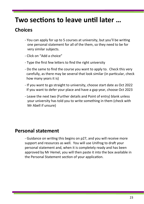## **Two sections to leave until later …**

## **Choices**

- You can apply for up to 5 courses at university, but you'll be writing one personal statement for all of the them, so they need to be for very similar subjects.
- Click on "Add a choice"
- Type the first few letters to find the right university
- Do the same to find the course you want to apply to. Check this very carefully, as there may be several that look similar (in particular, check how many years it is)
- If you want to go straight to university, choose start date as Oct 2022 If you want to defer your place and have a gap year, choose Oct 2023
- Leave the next two (Further details and Point of entry) blank unless your university has told you to write something in them (check with Mr Abell if unsure)

## **Personal statement**

- Guidance on writing this begins on p27, and you will receive more support and resources as well. You will use Unifrog to draft your personal statement and, when it is completely ready and has been approved by Mr Hemel, you will then paste it into the box available in the Personal Statement section of your application.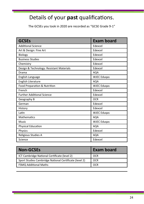## Details of your **past** qualifications.

The GCSEs you took in 2020 are recorded as "GCSE Grade 9-1"

| <b>GCSEs</b>                             | <b>Exam board</b>  |
|------------------------------------------|--------------------|
| <b>Additional Science</b>                | Edexcel            |
| Art & Design: Fine Art                   | Edexcel            |
| <b>Biology</b>                           | Edexcel            |
| <b>Business Studies</b>                  | Edexcel            |
| Chemistry                                | Edexcel            |
| Design & Technology: Resistant Materials | Edexcel            |
| Drama                                    | <b>AQA</b>         |
| English Language                         | <b>WJEC Edugas</b> |
| English Literature                       | <b>AQA</b>         |
| Food Preparation & Nutrition             | <b>WJEC Eduqas</b> |
| French                                   | Edexcel            |
| <b>Further Additional Science</b>        | Edexcel            |
| Geography B                              | <b>OCR</b>         |
| German                                   | Edexcel            |
| History                                  | Edexcel            |
| Latin                                    | <b>WJEC Eduqas</b> |
| Mathematics                              | <b>AOA</b>         |
| <b>Music</b>                             | <b>WJEC Eduqas</b> |
| <b>Physical Education</b>                | <b>AQA</b>         |
| Physics                                  | Edexcel            |
| Religious Studies A                      | <b>AQA</b>         |
| Science                                  | Edexcel            |

| Non-GCSEs                                              | <b>Exam board</b> |
|--------------------------------------------------------|-------------------|
| ICT Cambridge National Certificate (level 2)           | <b>OCR</b>        |
| Sport Studies Cambridge National Certificate (level 2) | <b>OCR</b>        |
| <b>FSMQ Additional Maths</b>                           | OCR               |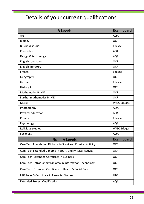## Details of your **current** qualifications.

| <b>A Levels</b>                                            | <b>Exam board</b>  |
|------------------------------------------------------------|--------------------|
| Art                                                        | <b>AQA</b>         |
| Biology                                                    | <b>OCR</b>         |
| <b>Business studies</b>                                    | Edexcel            |
| Chemistry                                                  | <b>AQA</b>         |
| Design & technology                                        | <b>AQA</b>         |
| English Language                                           | <b>OCR</b>         |
| English literature                                         | <b>OCR</b>         |
| French                                                     | Edexcel            |
| Geography                                                  | <b>OCR</b>         |
| German                                                     | Edexcel            |
| <b>History A</b>                                           | <b>OCR</b>         |
| Mathematics B (MEI)                                        | <b>OCR</b>         |
| Further mathematics B (MEI)                                | <b>OCR</b>         |
| Music                                                      | <b>WJEC Eduqas</b> |
| Photography                                                | <b>AQA</b>         |
| Physical education                                         | <b>AQA</b>         |
| Physics                                                    | Edexcel            |
| Psychology                                                 | <b>AQA</b>         |
| Religious studies                                          | <b>WJEC Eduqas</b> |
| Sociology                                                  | <b>AQA</b>         |
| <b>Non - A Levels</b>                                      | <b>Exam board</b>  |
| Cam Tech Foundation Diploma in Sport and Physical Activity | <b>OCR</b>         |
| Cam Tech Extended Diploma in Sport and Physical Activity   | <b>OCR</b>         |
| Cam Tech Extended Certificate in Business                  | <b>OCR</b>         |
| Cam Tech Introductory Diploma in Information Technology    | <b>OCR</b>         |
| Cam Tech Extended Certificate in Health & Social Care      | <b>OCR</b>         |
| LIBF Level 3 Certificate in Financial Studies              | <b>LIBF</b>        |
| <b>Extended Project Qualification</b>                      | <b>AQA</b>         |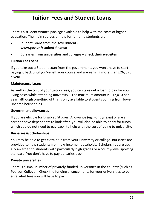## **Tuition Fees and Student Loans**

There's a student finance package available to help with the costs of higher education. The main sources of help for full-time students are:

- Student Loans from the government **www.gov.uk/student-finance**
- Bursaries from universities and colleges **check their websites**

#### **Tuition Fee Loans**

If you take out a Student Loan from the government, you won't have to start paying it back until you've left your course and are earning more than £26, 575 a year.

#### **Maintenance Loans**

As well as the cost of your tuition fees, you can take out a loan to pay for your living costs while attending university. The maximum amount is £12,010 per year, although one-third of this is only available to students coming from lower -income households.

#### **Government allowances**

If you are eligible for Disabled Studies' Allowance (eg. For dyslexia) or are a carer or have dependents to look after, you will also be able to apply for funds which you do not need to pay back, to help with the cost of going to university.

#### **Bursaries & Scholarships**

You may be able to get extra help from your university or college. Bursaries are provided to help students from low-income households. Scholarships are usually awarded to students with particularly high grades or a county-level sporting standard. You don't have to pay bursaries back.

#### **Private universities**

There is a small number of privately-funded universities in the country (such as Pearson College). Check the funding arrangements for your universities to be sure what fees you will have to pay.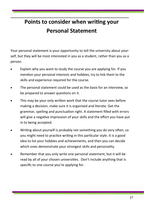## **\_\_\_\_\_\_\_\_\_\_\_\_\_\_\_\_\_\_\_\_\_\_\_\_\_\_\_\_\_\_\_\_\_\_\_\_\_\_\_\_\_\_\_\_\_\_\_\_\_\_\_\_\_\_\_\_\_\_\_\_\_\_\_ Points to consider when writing your Personal Statement**

Your personal statement is your opportunity to tell the university about yourself, but they will be most interested in you as a student, rather than you as a person.

- Explain why you want to study the course you are applying for. If you mention your personal interests and hobbies, try to link them to the skills and experience required for the course.
- The personal statement could be used as the basis for an interview, so be prepared to answer questions on it.
- This may be your only written work that the course tutor sees before making a decision; make sure it is organised and literate. Get the grammar, spelling and punctuation right. A statement filled with errors will give a negative impression of your skills and the effort you have put in to being accepted.
- Writing about yourself is probably not something you do very often, so you might need to practice writing in this particular style. It is a good idea to list your hobbies and achievements, and then you can decide which ones demonstrate your strongest skills and personality.
- Remember that you only write one personal statement, but it will be read by all of your chosen universities. Don't include anything that is specific to one course you're applying for.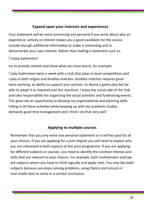#### **Expand upon your interests and experiences**

Your statement will be more convincing and personal if you write about why an experience, activity or interest makes you a good candidate for the course. Include enough additional information to make it interesting and to demonstrate your own interest. Rather than making a statement such as:

'I enjoy badminton'

try to provide context and show what you have learnt, for example:

'I play badminton twice a week with a club that plays in local competitions and I play in both singles and doubles matches. Doubles matches requires good team working, an ability to support your partner, to devise a game plan but be able to adapt it as required and fast reactions. I enjoy the social side of the club and take responsibility for organizing the social activities and fundraising events. This gives me an opportunity to develop my organizational and planning skills. Fitting in all these activities while keeping up with my academic studies demands good time management and I think I do that very well.'

#### **Applying to multiple courses**

Remember that you only write one personal statement so it will be used for all your choices. If you are applying for a joint degree you will need to explain why you are interested in both aspects of this joint programme. If you are applying for different subjects or courses, you need to identify the common themes and skills that are relevant to your choices. For example, both mathematics and law are subjects where you have to think logically and apply rules. You may like both subjects because you enjoy solving problems, using theory and natural or man-made laws to come to a correct conclusion.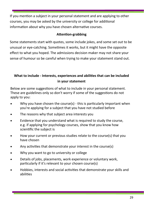If you mention a subject in your personal statement and are applying to other courses, you may be asked by the university or college for additional information about why you have chosen alternative courses.

#### **Attention-grabbing**

Some statements start with quotes, some include jokes, and some set out to be unusual or eye-catching. Sometimes it works, but it might have the opposite effect to what you hoped. The admissions decision maker may not share your sense of humour so be careful when trying to make your statement stand out.

#### **What to include - Interests, experiences and abilities that can be included in your statement**

Below are some suggestions of what to include in your personal statement. These are guidelines only so don't worry if some of the suggestions do not apply to you:

- Why you have chosen the course(s)  $-$  this is particularly important when you're applying for a subject that you have not studied before
- The reasons why that subject area interests you
- Evidence that you understand what is required to study the course, e.g. if applying for psychology courses, show that you know how scientific the subject is
- How your current or previous studies relate to the course(s) that you have chosen
- Any activities that demonstrate your interest in the course(s)
- Why you want to go to university or college
- Details of jobs, placements, work experience or voluntary work, particularly if it's relevant to your chosen course(s)
- Hobbies, interests and social activities that demonstrate your skills and abilities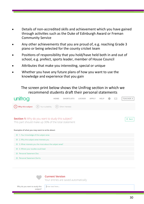- Details of non-accredited skills and achievement which you have gained through activities such as the Duke of Edinburgh Award or Freman Community Service
- Any other achievements that you are proud of, e.g. reaching Grade 3 piano or being selected for the county cricket team
- Positions of responsibility that you hold/have held both in and out of school, e.g. prefect, sports leader, member of House Council
- Attributes that make you interesting, special or unique
- Whether you have any future plans of how you want to use the knowledge and experience that you gain

#### The screen print below shows the Unifrog section in which we recommend students draft their personal statements





#### **Current Version**

Your entries are saved automatically

Why do you want to study this subject? Enter text here..

30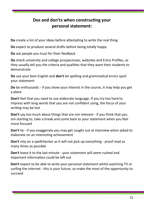## **Dos and don'ts when constructing your personal statement:**

**Do** create a list of your ideas before attempting to write the real thing

**Do** expect to produce several drafts before being totally happy

**Do** ask people you trust for their feedback

**Do** check university and college prospectuses, websites and Entry Profiles, as they usually tell you the criteria and qualities that they want their students to demonstrate

**Do** use your best English and **don't** let spelling and grammatical errors spoil your statement

**Do** be enthusiastic - if you show your interest in the course, it may help you get a place

**Don't** feel that you need to use elaborate language. If you try too hard to impress with long words that you are not confident using, the focus of your writing may be lost

**Don't** say too much about things that are not relevant - if you think that you are starting to, take a break and come back to your statement when you feel more focused

**Don't** lie - if you exaggerate you may get caught out at interview when asked to elaborate on an interesting achievement

**Don't** rely on a spellchecker as it will not pick up everything - proof read as many times as possible

**Don't** leave it to the last minute - your statement will seem rushed and important information could be left out

**Don't** expect to be able to write your personal statement whilst watching TV or surfing the internet - this is your future, so make the most of the opportunity to succeed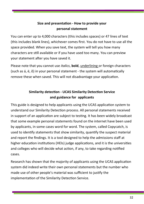#### **Size and presentation - How to provide your personal statement**

You can enter up to 4,000 characters (this includes spaces) or 47 lines of text (this includes blank lines), whichever comes first. You do not have to use all the space provided. When you save text, the system will tell you how many characters are still available or if you have used too many. You can preview your statement after you have saved it.

Please note that you cannot use *italics*, **bold**, underlining or foreign characters (such as á, ë, õ) in your personal statement - the system will automatically remove these when saved. This will not disadvantage your application.

### **Similarity detection - UCAS Similarity Detection Service and guidance for applicants**

This guide is designed to help applicants using the UCAS application system to understand our Similarity Detection process. All personal statements received in support of an application are subject to testing. It has been widely broadcast that some example personal statements found on the internet have been used by applicants, in some cases word for word. The system, called Copycatch, is used to identify statements that show similarity, quantify the suspect material and report the findings. It is a tool designed to help the admissions staff at higher education institutions (HEIs) judge applications, and it is the universities and colleges who will decide what action, if any, to take regarding notified cases.

Research has shown that the majority of applicants using the UCAS application system did indeed write their own personal statements but the number who made use of other people's material was sufficient to justify the implementation of the Similarity Detection Service.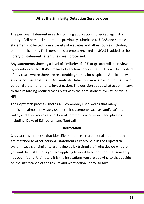#### **What the Similarity Detection Service does**

The personal statement in each incoming application is checked against a library of all personal statements previously submitted to UCAS and sample statements collected from a variety of websites and other sources including paper publications. Each personal statement received at UCAS is added to the library of statements after it has been processed.

Any statements showing a level of similarity of 10% or greater will be reviewed by members of the UCAS Similarity Detection Service team. HEIs will be notified of any cases where there are reasonable grounds for suspicion. Applicants will also be notified that the UCAS Similarity Detection Service has found that their personal statement merits investigation. The decision about what action, if any, to take regarding notified cases rests with the admissions tutors at individual HEIs.

The Copycatch process ignores 450 commonly used words that many applicants almost inevitably use in their statements such as 'and', 'so' and 'with', and also ignores a selection of commonly used words and phrases including 'Duke of Edinburgh' and 'football'.

#### **Verification**

Copycatch is a process that identifies sentences in a personal statement that are matched to other personal statements already held in the Copycatch system. Levels of similarity are reviewed by trained staff who decide whether you and the institutions you are applying to need to be notified that similarity has been found. Ultimately it is the institutions you are applying to that decide on the significance of the results and what action, if any, to take.